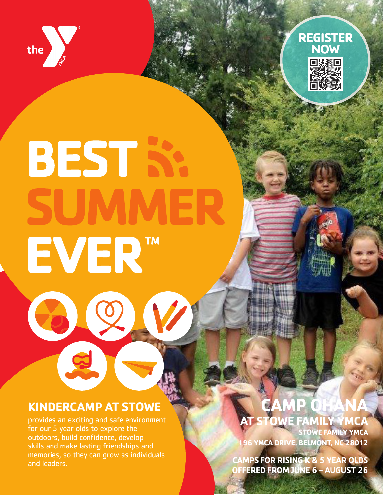



# **BEST SA** EVER<sup>™</sup>

# **KINDERCAMP AT STOWE**

00

8

provides an exciting and safe environment for our 5 year olds to explore the outdoors, build confidence, develop skills and make lasting friendships and memories, so they can grow as individuals and leaders.

# **CAMP OHANA AT STOWE FAMILY YMCA**

**STOWE FAMILY YMCA 196 YMCA DRIVE, BELMONT, NC 28012**

**CAMPS FOR RISING K & 5 YEAR OLDS OFFERED FROM JUNE 6 - AUGUST 26**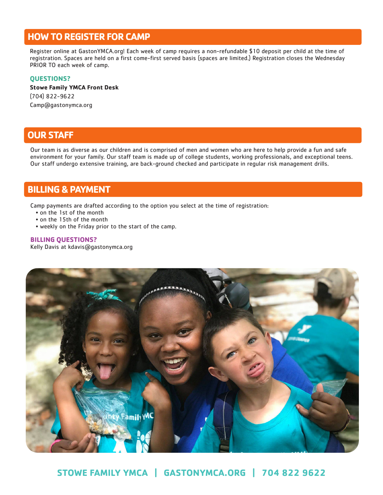## **HOW TO REGISTER FOR CAMP**

Register online at GastonYMCA.org! Each week of camp requires a non-refundable \$10 deposit per child at the time of registration. Spaces are held on a first come-first served basis (spaces are limited.) Registration closes the Wednesday PRIOR TO each week of camp.

#### **QUESTIONS?**

#### **Stowe Family YMCA Front Desk** (704) 822-9622 Camp@gastonymca.org

## **OUR STAFF**

Our team is as diverse as our children and is comprised of men and women who are here to help provide a fun and safe environment for your family. Our staff team is made up of college students, working professionals, and exceptional teens. Our staff undergo extensive training, are back-ground checked and participate in regular risk management drills.

# **BILLING & PAYMENT**

Camp payments are drafted according to the option you select at the time of registration:

- on the 1st of the month
- on the 15th of the month
- weekly on the Friday prior to the start of the camp.

#### **BILLING QUESTIONS?**

Kelly Davis at kdavis@gastonymca.org



**STOWE FAMILY YMCA | GASTONYMCA.ORG | 704 822 9622**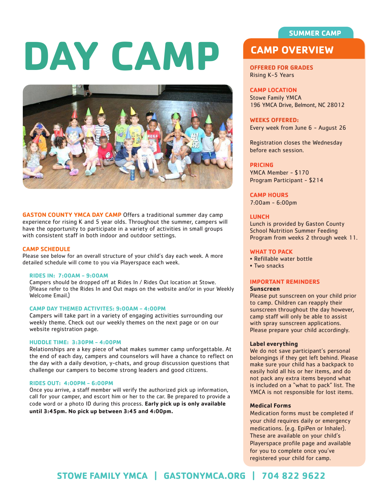#### **SUMMER CAMP**

# **DAY CAMP CAMP CAMP CAMP CAMP CAMP CAMP CERVIEW**



**GASTON COUNTY YMCA DAY CAMP** Offers a traditional summer day camp experience for rising K and 5 year olds. Throughout the summer, campers will have the opportunity to participate in a variety of activities in small groups with consistent staff in both indoor and outdoor settings.

#### **CAMP SCHEDULE**

Please see below for an overall structure of your child's day each week. A more detailed schedule will come to you via Playerspace each week.

#### **RIDES IN: 7:00AM - 9:00AM**

Campers should be dropped off at Rides In / Rides Out location at Stowe. (Please refer to the Rides In and Out maps on the website and/or in your Weekly Welcome Email.)

#### **CAMP DAY THEMED ACTIVITES: 9:00AM - 4:00PM**

Campers will take part in a variety of engaging activities surrounding our weekly theme. Check out our weekly themes on the next page or on our website registration page.

#### **HUDDLE TIME: 3:30PM - 4:00PM**

Relationships are a key piece of what makes summer camp unforgettable. At the end of each day, campers and counselors will have a chance to reflect on the day with a daily devotion, y-chats, and group discussion questions that challenge our campers to become strong leaders and good citizens.

#### **RIDES OUT: 4:00PM - 6:00PM**

Once you arrive, a staff member will verify the authorized pick up information, call for your camper, and escort him or her to the car. Be prepared to provide a code word or a photo ID during this process. **Early pick up is only available until 3:45pm. No pick up between 3:45 and 4:00pm.**

#### **OFFERED FOR GRADES** Rising K-5 Years

#### **CAMP LOCATION**

Stowe Family YMCA 196 YMCA Drive, Belmont, NC 28012

#### **WEEKS OFFERED:**

Every week from June 6 - August 26

Registration closes the Wednesday before each session.

#### **PRICING**

YMCA Member - \$170 Program Participant - \$214

**CAMP HOURS** 7:00am - 6:00pm

#### **LUNCH**

Lunch is provided by Gaston County School Nutrition Summer Feeding Program from weeks 2 through week 11.

#### **WHAT TO PACK**

- Refillable water bottle
- Two snacks

#### **IMPORTANT REMINDERS**

#### **Sunscreen**

Please put sunscreen on your child prior to camp. Children can reapply their sunscreen throughout the day however, camp staff will only be able to assist with spray sunscreen applications. Please prepare your child accordingly.

#### **Label everything**

We do not save participant's personal belongings if they get left behind. Please make sure your child has a backpack to easily hold all his or her items, and do not pack any extra items beyond what is included on a "what to pack" list. The YMCA is not responsible for lost items.

#### **Medical Forms**

Medication forms must be completed if your child requires daily or emergency medications. (e.g. EpiPen or Inhaler). These are available on your child's Playerspace profile page and available for you to complete once you've registered your child for camp.